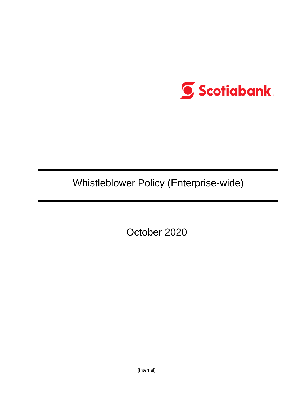

Whistleblower Policy (Enterprise-wide)

October 2020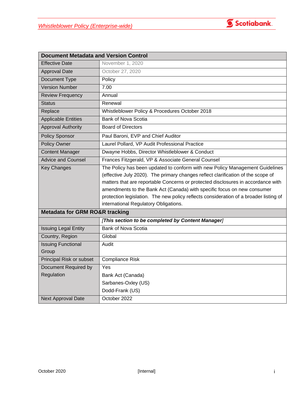

| <b>Document Metadata and Version Control</b> |                                                                                                                                                                                                                                                                                                                                                                                                                                                                   |  |
|----------------------------------------------|-------------------------------------------------------------------------------------------------------------------------------------------------------------------------------------------------------------------------------------------------------------------------------------------------------------------------------------------------------------------------------------------------------------------------------------------------------------------|--|
| <b>Effective Date</b>                        | November 1, 2020                                                                                                                                                                                                                                                                                                                                                                                                                                                  |  |
| <b>Approval Date</b>                         | October 27, 2020                                                                                                                                                                                                                                                                                                                                                                                                                                                  |  |
| Document Type                                | Policy                                                                                                                                                                                                                                                                                                                                                                                                                                                            |  |
| <b>Version Number</b>                        | 7.00                                                                                                                                                                                                                                                                                                                                                                                                                                                              |  |
| <b>Review Frequency</b>                      | Annual                                                                                                                                                                                                                                                                                                                                                                                                                                                            |  |
| <b>Status</b>                                | Renewal                                                                                                                                                                                                                                                                                                                                                                                                                                                           |  |
| Replace                                      | Whistleblower Policy & Procedures October 2018                                                                                                                                                                                                                                                                                                                                                                                                                    |  |
| <b>Applicable Entities</b>                   | Bank of Nova Scotia                                                                                                                                                                                                                                                                                                                                                                                                                                               |  |
| <b>Approval Authority</b>                    | <b>Board of Directors</b>                                                                                                                                                                                                                                                                                                                                                                                                                                         |  |
| <b>Policy Sponsor</b>                        | Paul Baroni, EVP and Chief Auditor                                                                                                                                                                                                                                                                                                                                                                                                                                |  |
| Policy Owner                                 | Laurel Pollard, VP Audit Professional Practice                                                                                                                                                                                                                                                                                                                                                                                                                    |  |
| <b>Content Manager</b>                       | Dwayne Hobbs, Director Whistleblower & Conduct                                                                                                                                                                                                                                                                                                                                                                                                                    |  |
| <b>Advice and Counsel</b>                    | Frances Fitzgerald, VP & Associate General Counsel                                                                                                                                                                                                                                                                                                                                                                                                                |  |
| <b>Key Changes</b>                           | The Policy has been updated to conform with new Policy Management Guidelines<br>(effective July 2020). The primary changes reflect clarification of the scope of<br>matters that are reportable Concerns or protected disclosures in accordance with<br>amendments to the Bank Act (Canada) with specific focus on new consumer<br>protection legislation. The new policy reflects consideration of a broader listing of<br>international Regulatory Obligations. |  |
| <b>Metadata for GRM RO&amp;R tracking</b>    |                                                                                                                                                                                                                                                                                                                                                                                                                                                                   |  |
|                                              | [This section to be completed by Content Manager]                                                                                                                                                                                                                                                                                                                                                                                                                 |  |
| <b>Issuing Legal Entity</b>                  | <b>Bank of Nova Scotia</b>                                                                                                                                                                                                                                                                                                                                                                                                                                        |  |
| Country, Region                              | Global                                                                                                                                                                                                                                                                                                                                                                                                                                                            |  |
| <b>Issuing Functional</b><br>Group           | Audit                                                                                                                                                                                                                                                                                                                                                                                                                                                             |  |
| Principal Risk or subset                     | <b>Compliance Risk</b>                                                                                                                                                                                                                                                                                                                                                                                                                                            |  |
| Document Required by                         | Yes                                                                                                                                                                                                                                                                                                                                                                                                                                                               |  |
| Regulation                                   | Bank Act (Canada)                                                                                                                                                                                                                                                                                                                                                                                                                                                 |  |
|                                              | Sarbanes-Oxley (US)                                                                                                                                                                                                                                                                                                                                                                                                                                               |  |
|                                              | Dodd-Frank (US)                                                                                                                                                                                                                                                                                                                                                                                                                                                   |  |
| <b>Next Approval Date</b>                    | October 2022                                                                                                                                                                                                                                                                                                                                                                                                                                                      |  |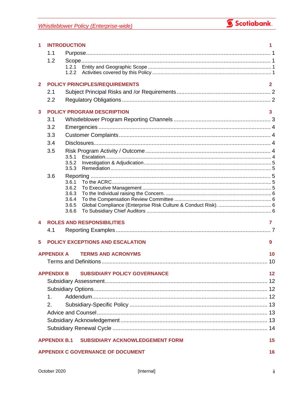

| 1            | <b>INTRODUCTION</b><br>1 |                |                                          |              |
|--------------|--------------------------|----------------|------------------------------------------|--------------|
|              | 1.1                      |                |                                          |              |
|              | 1.2                      |                |                                          |              |
|              |                          | 1.2.1          |                                          |              |
|              |                          | 1.2.2          |                                          |              |
| $\mathbf{2}$ |                          |                | <b>POLICY PRINCIPLES/REQUIREMENTS</b>    | $\mathbf{2}$ |
|              | 2.1                      |                |                                          |              |
|              | 2.2                      |                |                                          |              |
| 3            |                          |                | <b>POLICY PROGRAM DESCRIPTION</b>        | 3            |
|              | 3.1                      |                |                                          |              |
|              | 3.2                      |                |                                          |              |
|              | 3.3                      |                |                                          |              |
|              | 3.4                      |                |                                          |              |
|              | 3.5                      |                |                                          |              |
|              |                          | 3.5.1          |                                          |              |
|              |                          | 3.5.2          |                                          |              |
|              |                          | 3.5.3          |                                          |              |
|              | 3.6                      | 3.6.1          |                                          |              |
|              |                          | 3.6.2          |                                          |              |
|              |                          | 3.6.3          |                                          |              |
|              |                          | 3.6.4<br>3.6.5 |                                          |              |
|              |                          | 3.6.6          |                                          |              |
| 4            |                          |                | <b>ROLES AND RESPONSIBILITIES</b>        | 7            |
|              | 4.1                      |                |                                          |              |
|              |                          |                |                                          |              |
| 5            |                          |                | <b>POLICY EXCEPTIONS AND ESCALATION</b>  | 9            |
|              | <b>APPENDIX A</b>        |                | <b>TERMS AND ACRONYMS</b>                | 10           |
|              |                          |                |                                          | 10           |
|              | <b>APPENDIX B</b>        |                | <b>SUBSIDIARY POLICY GOVERNANCE</b>      | 12           |
|              |                          |                |                                          |              |
|              |                          |                |                                          |              |
|              | $\mathbf 1$              |                |                                          |              |
|              | 2.                       |                |                                          |              |
|              |                          |                |                                          |              |
|              |                          |                |                                          |              |
|              |                          |                |                                          |              |
|              |                          |                |                                          |              |
|              | <b>APPENDIX B.1</b>      |                | <b>SUBSIDIARY ACKNOWLEDGEMENT FORM</b>   | 15           |
|              |                          |                | <b>APPENDIX C GOVERNANCE OF DOCUMENT</b> | 16           |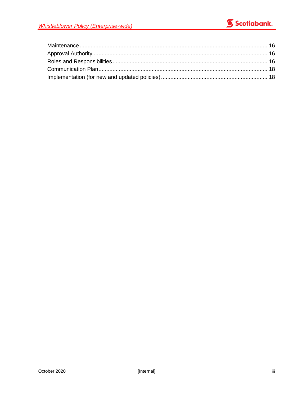**Whistleblower Policy (Enterprise-wide)** 

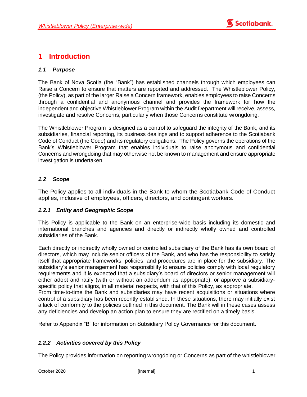

## <span id="page-4-0"></span>**1 Introduction**

### <span id="page-4-1"></span>*1.1 Purpose*

The Bank of Nova Scotia (the "Bank") has established channels through which employees can Raise a Concern to ensure that matters are reported and addressed. The Whistleblower Policy, (the Policy), as part of the larger Raise a Concern framework, enables employees to raise Concerns through a confidential and anonymous channel and provides the framework for how the independent and objective Whistleblower Program within the Audit Department will receive, assess, investigate and resolve Concerns, particularly when those Concerns constitute wrongdoing.

The Whistleblower Program is designed as a control to safeguard the integrity of the Bank, and its subsidiaries, financial reporting, its business dealings and to support adherence to the Scotiabank Code of Conduct (the Code) and its regulatory obligations. The Policy governs the operations of the Bank's Whistleblower Program that enables individuals to raise anonymous and confidential Concerns and wrongdoing that may otherwise not be known to management and ensure appropriate investigation is undertaken.

### <span id="page-4-2"></span>*1.2 Scope*

The Policy applies to all individuals in the Bank to whom the Scotiabank Code of Conduct applies, inclusive of employees, officers, directors, and contingent workers.

### <span id="page-4-3"></span>*1.2.1 Entity and Geographic Scope*

This Policy is applicable to the Bank on an enterprise-wide basis including its domestic and international branches and agencies and directly or indirectly wholly owned and controlled subsidiaries of the Bank.

Each directly or indirectly wholly owned or controlled subsidiary of the Bank has its own board of directors, which may include senior officers of the Bank, and who has the responsibility to satisfy itself that appropriate frameworks, policies, and procedures are in place for the subsidiary. The subsidiary's senior management has responsibility to ensure policies comply with local regulatory requirements and it is expected that a subsidiary's board of directors or senior management will either adopt and ratify (with or without an addendum as appropriate), or approve a subsidiaryspecific policy that aligns, in all material respects, with that of this Policy, as appropriate. From time-to-time the Bank and subsidiaries may have recent acquisitions or situations where control of a subsidiary has been recently established. In these situations, there may initially exist a lack of conformity to the policies outlined in this document. The Bank will in these cases assess any deficiencies and develop an action plan to ensure they are rectified on a timely basis.

Refer to Appendix "B" for information on Subsidiary Policy Governance for this document.

### <span id="page-4-4"></span>*1.2.2 Activities covered by this Policy*

The Policy provides information on reporting wrongdoing or Concerns as part of the whistleblower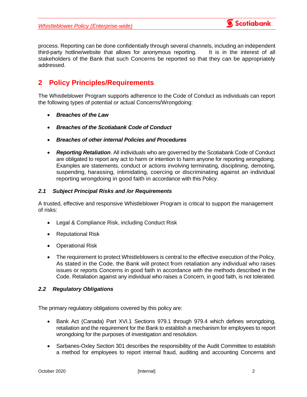

process. Reporting can be done confidentially through several channels, including an independent third-party hotline/website that allows for anonymous reporting. It is in the interest of all stakeholders of the Bank that such Concerns be reported so that they can be appropriately addressed.

# <span id="page-5-0"></span>**2 Policy Principles/Requirements**

The Whistleblower Program supports adherence to the Code of Conduct as individuals can report the following types of potential or actual Concerns/Wrongdoing:

- *Breaches of the Law*
- *Breaches of the Scotiabank Code of Conduct*
- *Breaches of other internal Policies and Procedures*
- *Reporting Retaliation*. All individuals who are governed by the Scotiabank Code of Conduct are obligated to report any act to harm or intention to harm anyone for reporting wrongdoing. Examples are statements, conduct or actions involving terminating, disciplining, demoting, suspending, harassing, intimidating, coercing or discriminating against an individual reporting wrongdoing in good faith in accordance with this Policy.

## <span id="page-5-1"></span>*2.1 Subject Principal Risks and /or Requirements*

A trusted, effective and responsive Whistleblower Program is critical to support the management of risks:

- Legal & Compliance Risk, including Conduct Risk
- Reputational Risk
- Operational Risk
- The requirement to protect Whistleblowers is central to the effective execution of the Policy. As stated in the Code, the Bank will protect from retaliation any individual who raises issues or reports Concerns in good faith in accordance with the methods described in the Code. Retaliation against any individual who raises a Concern, in good faith, is not tolerated.

### <span id="page-5-2"></span>*2.2 Regulatory Obligations*

The primary regulatory obligations covered by this policy are:

- Bank Act (Canada) Part XVI.1 Sections 979.1 through 979.4 which defines wrongdoing, retaliation and the requirement for the Bank to establish a mechanism for employees to report wrongdoing for the purposes of investigation and resolution.
- Sarbanes-Oxley Section 301 describes the responsibility of the Audit Committee to establish a method for employees to report internal fraud, auditing and accounting Concerns and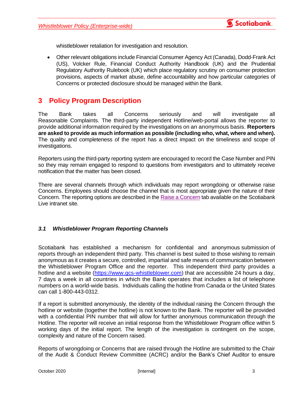

whistleblower retaliation for investigation and resolution.

• Other relevant obligations include Financial Consumer Agency Act (Canada), Dodd-Frank Act (US), Volcker Rule, Financial Conduct Authority Handbook (UK) and the Prudential Regulatory Authority Rulebook (UK) which place regulatory scrutiny on consumer protection provisions, aspects of market abuse, define accountability and how particular categories of Concerns or protected disclosure should be managed within the Bank.

## <span id="page-6-0"></span>**3 Policy Program Description**

The Bank takes all Concerns seriously and will investigate all Reasonable Complaints. The third-party independent Hotline/web-portal allows the reporter to provide additional information required by the investigations on an anonymous basis. **Reporters are asked to provide as much information as possible (including who, what, where and when).** The quality and completeness of the report has a direct impact on the timeliness and scope of investigations.

Reporters using the third-party reporting system are encouraged to record the Case Number and PIN so they may remain engaged to respond to questions from investigators and to ultimately receive notification that the matter has been closed.

There are several channels through which individuals may report wrongdoing or otherwise raise Concerns. Employees should choose the channel that is most appropriate given the nature of their Concern. The reporting options are described in the [Raise a Concern](https://jam17.sapjam.com/groups/GmmM3vY7YlwMrFnUgLC2At/overview_page/yz2OK7SHpyINMNcyWEolvm) tab available on the Scotiabank Live intranet site.

### <span id="page-6-1"></span>*3.1 Whistleblower Program Reporting Channels*

Scotiabank has established a mechanism for confidential and anonymous submission of reports through an independent third party. This channel is best suited to those wishing to remain anonymous as it creates a secure, controlled, impartial and safe means of communication between the Whistleblower Program Office and the reporter. This independent third party provides a hotline and a website [\(https://www.gcs-whistleblower.com\)](https://www.gcs-whistleblower.com/) that are accessible 24 hours a day, 7 days a week in all countries in which the Bank operates that includes a list of telephone numbers on a world-wide basis. Individuals calling the hotline from Canada or the United States can call 1-800-443-0312.

If a report is submitted anonymously, the identity of the individual raising the Concern through the hotline or website (together the hotline) is not known to the Bank. The reporter will be provided with a confidential PIN number that will allow for further anonymous communication through the Hotline. The reporter will receive an initial response from the Whistleblower Program office within 5 working days of the initial report. The length of the investigation is contingent on the scope, complexity and nature of the Concern raised.

Reports of wrongdoing or Concerns that are raised through the Hotline are submitted to the Chair of the Audit & Conduct Review Committee (ACRC) and/or the Bank's Chief Auditor to ensure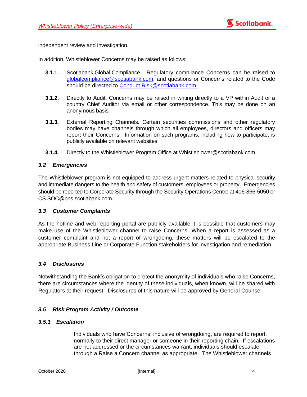

independent review and investigation.

In addition, Whistleblower Concerns may be raised as follows:

- **3.1.1.** Scotiabank Global Compliance. Regulatory compliance Concerns can be raised to [globalcompliance@scotiabank.com.](mailto:globalcompliance@scotiabank.com) and questions or Concerns related to the Code should be directed to [Conduct.Risk@scotiabank.com.](mailto:Conduct.Risk@scotiabank.com)
- **3.1.2.** Directly to Audit. Concerns may be raised in writing directly to a VP within Audit or a country Chief Auditor via email or other correspondence. This may be done on an anonymous basis.
- **3.1.3.** External Reporting Channels. Certain securities commissions and other regulatory bodies may have channels through which all employees, directors and officers may report their Concerns. Information on such programs, including how to participate, is publicly available on relevant websites.
- **3.1.4.** Directly to the Whistleblower Program Office at Whistleblower@scotiabank.com.

### <span id="page-7-0"></span>*3.2 Emergencies*

The Whistleblower program is not equipped to address urgent matters related to physical security and immediate dangers to the health and safety of customers, employees or property. Emergencies should be reported to Corporate Security through the Security Operations Centre at 416-866-5050 or [CS.SOC@bns.scotiabank.com.](mailto:CS.SOC@bns.scotiabank.com)

### <span id="page-7-1"></span>*3.3 Customer Complaints*

As the hotline and web reporting portal are publicly available it is possible that customers may make use of the Whistleblower channel to raise Concerns. When a report is assessed as a customer complaint and not a report of wrongdoing, these matters will be escalated to the appropriate Business Line or Corporate Function stakeholders for investigation and remediation.

### <span id="page-7-2"></span>*3.4 Disclosures*

Notwithstanding the Bank's obligation to protect the anonymity of individuals who raise Concerns, there are circumstances where the identity of these individuals, when known, will be shared with Regulators at their request. Disclosures of this nature will be approved by General Counsel.

### <span id="page-7-3"></span>*3.5 Risk Program Activity / Outcome*

### <span id="page-7-4"></span>*3.5.1 Escalation*

Individuals who have Concerns, inclusive of wrongdoing, are required to report, normally to their direct manager or someone in their reporting chain. If escalations are not addressed or the circumstances warrant, individuals should escalate through a Raise a Concern channel as appropriate. The Whistleblower channels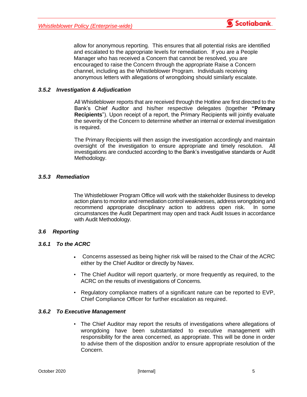

### <span id="page-8-0"></span>*3.5.2 Investigation & Adjudication*

All Whistleblower reports that are received through the Hotline are first directed to the Bank's Chief Auditor and his/her respective delegates (together **"Primary Recipients**"). Upon receipt of a report, the Primary Recipients will jointly evaluate the severity of the Concern to determine whether an internal or external investigation is required.

The Primary Recipients will then assign the investigation accordingly and maintain oversight of the investigation to ensure appropriate and timely resolution. All investigations are conducted according to the Bank's investigative standards or Audit Methodology.

### <span id="page-8-1"></span>*3.5.3 Remediation*

The Whistleblower Program Office will work with the stakeholder Business to develop action plans to monitor and remediation control weaknesses, address wrongdoing and recommend appropriate disciplinary action to address open risk. In some circumstances the Audit Department may open and track Audit Issues in accordance with Audit Methodology.

### <span id="page-8-2"></span>*3.6 Reporting*

### <span id="page-8-3"></span>*3.6.1 To the ACRC*

- Concerns assessed as being higher risk will be raised to the Chair of the ACRC either by the Chief Auditor or directly by Navex.
- The Chief Auditor will report quarterly, or more frequently as required, to the ACRC on the results of investigations of Concerns.
- Regulatory compliance matters of a significant nature can be reported to EVP, Chief Compliance Officer for further escalation as required.

### <span id="page-8-4"></span>*3.6.2 To Executive Management*

• The Chief Auditor may report the results of investigations where allegations of wrongdoing have been substantiated to executive management with responsibility for the area concerned, as appropriate. This will be done in order to advise them of the disposition and/or to ensure appropriate resolution of the Concern.

**6** Scotiabank.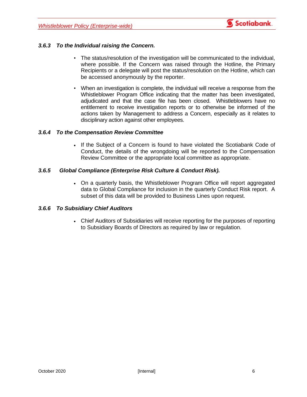### <span id="page-9-0"></span>*3.6.3 To the Individual raising the Concern.*

- The status/resolution of the investigation will be communicated to the individual, where possible. If the Concern was raised through the Hotline, the Primary Recipients or a delegate will post the status/resolution on the Hotline, which can be accessed anonymously by the reporter.
- When an investigation is complete, the individual will receive a response from the Whistleblower Program Office indicating that the matter has been investigated, adjudicated and that the case file has been closed. Whistleblowers have no entitlement to receive investigation reports or to otherwise be informed of the actions taken by Management to address a Concern, especially as it relates to disciplinary action against other employees.

### <span id="page-9-1"></span>*3.6.4 To the Compensation Review Committee*

• If the Subject of a Concern is found to have violated the Scotiabank Code of Conduct, the details of the wrongdoing will be reported to the Compensation Review Committee or the appropriate local committee as appropriate.

### <span id="page-9-2"></span>*3.6.5 Global Compliance (Enterprise Risk Culture & Conduct Risk).*

• On a quarterly basis, the Whistleblower Program Office will report aggregated data to Global Compliance for inclusion in the quarterly Conduct Risk report. A subset of this data will be provided to Business Lines upon request.

### <span id="page-9-3"></span>*3.6.6 To Subsidiary Chief Auditors*

• Chief Auditors of Subsidiaries will receive reporting for the purposes of reporting to Subsidiary Boards of Directors as required by law or regulation.

**6** Scotiabank.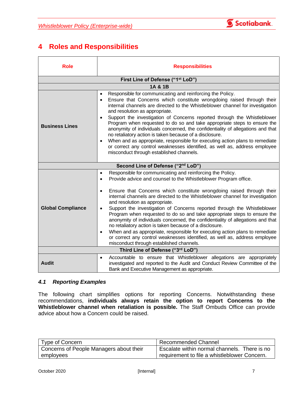

# <span id="page-10-0"></span>**4 Roles and Responsibilities**

| <b>Role</b>                       | <b>Responsibilities</b>                                                                                                                                                                                                                                                                                                                                                                                                                                                                                                                                                                                                                                                                                                                                                                                                                                                                                   |  |
|-----------------------------------|-----------------------------------------------------------------------------------------------------------------------------------------------------------------------------------------------------------------------------------------------------------------------------------------------------------------------------------------------------------------------------------------------------------------------------------------------------------------------------------------------------------------------------------------------------------------------------------------------------------------------------------------------------------------------------------------------------------------------------------------------------------------------------------------------------------------------------------------------------------------------------------------------------------|--|
| First Line of Defense ("1st LoD") |                                                                                                                                                                                                                                                                                                                                                                                                                                                                                                                                                                                                                                                                                                                                                                                                                                                                                                           |  |
|                                   | 1A & 1B                                                                                                                                                                                                                                                                                                                                                                                                                                                                                                                                                                                                                                                                                                                                                                                                                                                                                                   |  |
| <b>Business Lines</b>             | Responsible for communicating and reinforcing the Policy.<br>$\bullet$<br>Ensure that Concerns which constitute wrongdoing raised through their<br>$\bullet$<br>internal channels are directed to the Whistleblower channel for investigation<br>and resolution as appropriate.<br>Support the investigation of Concerns reported through the Whistleblower<br>$\bullet$<br>Program when requested to do so and take appropriate steps to ensure the<br>anonymity of individuals concerned, the confidentiality of allegations and that<br>no retaliatory action is taken because of a disclosure.<br>When and as appropriate, responsible for executing action plans to remediate<br>$\bullet$<br>or correct any control weaknesses identified, as well as, address employee<br>misconduct through established channels.                                                                                 |  |
|                                   | Second Line of Defense ("2nd LoD")                                                                                                                                                                                                                                                                                                                                                                                                                                                                                                                                                                                                                                                                                                                                                                                                                                                                        |  |
| <b>Global Compliance</b>          | Responsible for communicating and reinforcing the Policy.<br>$\bullet$<br>Provide advice and counsel to the Whistleblower Program office.<br>$\bullet$<br>Ensure that Concerns which constitute wrongdoing raised through their<br>$\bullet$<br>internal channels are directed to the Whistleblower channel for investigation<br>and resolution as appropriate.<br>Support the investigation of Concerns reported through the Whistleblower<br>$\bullet$<br>Program when requested to do so and take appropriate steps to ensure the<br>anonymity of individuals concerned, the confidentiality of allegations and that<br>no retaliatory action is taken because of a disclosure.<br>When and as appropriate, responsible for executing action plans to remediate<br>$\bullet$<br>or correct any control weaknesses identified, as well as, address employee<br>misconduct through established channels. |  |
|                                   | Third Line of Defense ("3rd LoD")                                                                                                                                                                                                                                                                                                                                                                                                                                                                                                                                                                                                                                                                                                                                                                                                                                                                         |  |
| <b>Audit</b>                      | Accountable to ensure that Whistleblower allegations are appropriately<br>$\bullet$<br>investigated and reported to the Audit and Conduct Review Committee of the<br>Bank and Executive Management as appropriate.                                                                                                                                                                                                                                                                                                                                                                                                                                                                                                                                                                                                                                                                                        |  |

### <span id="page-10-1"></span>*4.1 Reporting Examples*

The following chart simplifies options for reporting Concerns. Notwithstanding these recommendations, **individuals always retain the option to report Concerns to the Whistleblower channel when retaliation is possible.** The [Staff Ombuds Office](http://scotiabanklive.cs.bns/groups/staff-ombuds-office) can provide advice about how a Concern could be raised.

| Type of Concern                         | Recommended Channel                          |
|-----------------------------------------|----------------------------------------------|
| Concerns of People Managers about their | Escalate within normal channels. There is no |
| employees                               | requirement to file a whistleblower Concern. |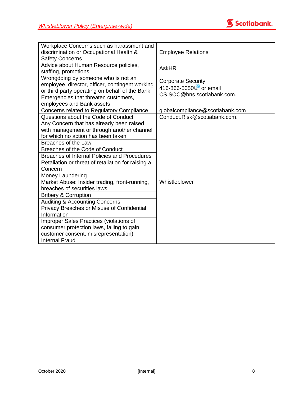

| Workplace Concerns such as harassment and          |                                 |
|----------------------------------------------------|---------------------------------|
| discrimination or Occupational Health &            | <b>Employee Relations</b>       |
| <b>Safety Concerns</b>                             |                                 |
| Advice about Human Resource policies,              | <b>AskHR</b>                    |
| staffing, promotions                               |                                 |
| Wrongdoing by someone who is not an                | <b>Corporate Security</b>       |
| employee, director, officer, contingent working    | 416-866-5050 or email           |
| or third party operating on behalf of the Bank     | CS.SOC@bns.scotiabank.com.      |
| Emergencies that threaten customers,               |                                 |
| employees and Bank assets                          |                                 |
| Concerns related to Regulatory Compliance          | globalcompliance@scotiabank.com |
| Questions about the Code of Conduct                | Conduct.Risk@scotiabank.com.    |
| Any Concern that has already been raised           |                                 |
| with management or through another channel         |                                 |
| for which no action has been taken                 |                                 |
| Breaches of the Law                                |                                 |
| Breaches of the Code of Conduct                    |                                 |
| Breaches of Internal Policies and Procedures       |                                 |
| Retaliation or threat of retaliation for raising a |                                 |
| Concern                                            |                                 |
| Money Laundering                                   |                                 |
| Market Abuse: Insider trading, front-running,      | Whistleblower                   |
| breaches of securities laws                        |                                 |
| <b>Bribery &amp; Corruption</b>                    |                                 |
| <b>Auditing &amp; Accounting Concerns</b>          |                                 |
| Privacy Breaches or Misuse of Confidential         |                                 |
| Information                                        |                                 |
| Improper Sales Practices (violations of            |                                 |
| consumer protection laws, failing to gain          |                                 |
| customer consent, misrepresentation)               |                                 |
| <b>Internal Fraud</b>                              |                                 |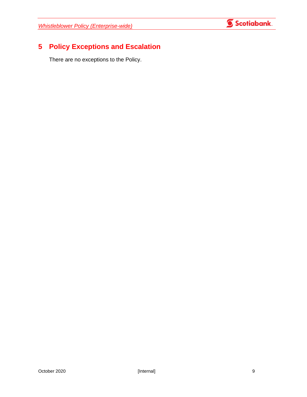

# <span id="page-12-0"></span>**5 Policy Exceptions and Escalation**

There are no exceptions to the Policy.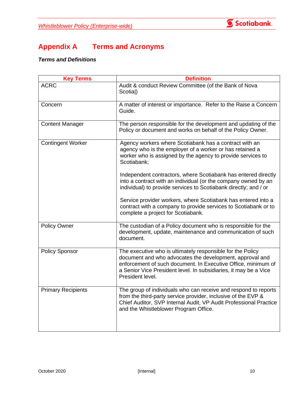

# <span id="page-13-0"></span>**Appendix A Terms and Acronyms**

## <span id="page-13-1"></span>*Terms and Definitions*

| <b>Key Terms</b>          | <b>Definition</b>                                                                                                                                                                                                                                                               |
|---------------------------|---------------------------------------------------------------------------------------------------------------------------------------------------------------------------------------------------------------------------------------------------------------------------------|
| <b>ACRC</b>               | Audit & conduct Review Committee (of the Bank of Nova<br>Scotial)                                                                                                                                                                                                               |
| Concern                   | A matter of interest or importance. Refer to the Raise a Concern<br>Guide.                                                                                                                                                                                                      |
| <b>Content Manager</b>    | The person responsible for the development and updating of the<br>Policy or document and works on behalf of the Policy Owner.                                                                                                                                                   |
| <b>Contingent Worker</b>  | Agency workers where Scotiabank has a contract with an<br>agency who is the employer of a worker or has retained a<br>worker who is assigned by the agency to provide services to<br>Scotiabank;                                                                                |
|                           | Independent contractors, where Scotiabank has entered directly<br>into a contract with an individual (or the company owned by an<br>individual) to provide services to Scotiabank directly; and / or                                                                            |
|                           | Service provider workers, where Scotiabank has entered into a<br>contract with a company to provide services to Scotiabank or to<br>complete a project for Scotiabank.                                                                                                          |
| <b>Policy Owner</b>       | The custodian of a Policy document who is responsible for the<br>development, update, maintenance and communication of such<br>document.                                                                                                                                        |
| <b>Policy Sponsor</b>     | The executive who is ultimately responsible for the Policy<br>document and who advocates the development, approval and<br>enforcement of such document. In Executive Office, minimum of<br>a Senior Vice President level. In subsidiaries, it may be a Vice<br>President level. |
| <b>Primary Recipients</b> | The group of individuals who can receive and respond to reports<br>from the third-party service provider, inclusive of the EVP &<br>Chief Auditor, SVP Internal Audit, VP Audit Professional Practice<br>and the Whistleblower Program Office.                                  |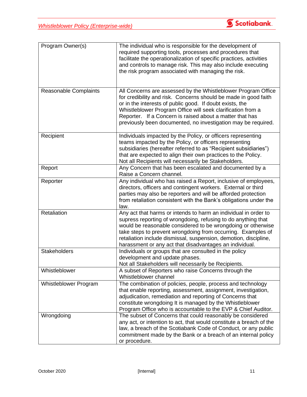

| Program Owner(s)             | The individual who is responsible for the development of<br>required supporting tools, processes and procedures that<br>facilitate the operationalization of specific practices, activities<br>and controls to manage risk. This may also include executing<br>the risk program associated with managing the risk.                                                                              |
|------------------------------|-------------------------------------------------------------------------------------------------------------------------------------------------------------------------------------------------------------------------------------------------------------------------------------------------------------------------------------------------------------------------------------------------|
| <b>Reasonable Complaints</b> | All Concerns are assessed by the Whistleblower Program Office<br>for credibility and risk. Concerns should be made in good faith<br>or in the interests of public good. If doubt exists, the<br>Whistleblower Program Office will seek clarification from a<br>Reporter. If a Concern is raised about a matter that has<br>previously been documented, no investigation may be required.        |
| Recipient                    | Individuals impacted by the Policy, or officers representing<br>teams impacted by the Policy, or officers representing<br>subsidiaries (hereafter referred to as "Recipient subsidiaries")<br>that are expected to align their own practices to the Policy.<br>Not all Recipients will necessarily be Stakeholders.                                                                             |
| Report                       | Any Concern that has been escalated and documented by a<br>Raise a Concern channel.                                                                                                                                                                                                                                                                                                             |
| Reporter                     | Any individual who has raised a Report, inclusive of employees,<br>directors, officers and contingent workers. External or third<br>parties may also be reporters and will be afforded protection<br>from retaliation consistent with the Bank's obligations under the<br>law.                                                                                                                  |
| Retaliation                  | Any act that harms or intends to harm an individual in order to<br>supress reporting of wrongdoing, refusing to do anything that<br>would be reasonable considered to be wrongdoing or otherwise<br>take steps to prevent wrongdoing from occurring. Examples of<br>retaliation include dismissal, suspension, demotion, discipline,<br>harassment or any act that disadvantages an individual. |
| <b>Stakeholders</b>          | Individuals or groups that are consulted in the policy<br>development and update phases.<br>Not all Stakeholders will necessarily be Recipients.                                                                                                                                                                                                                                                |
| Whistleblower                | A subset of Reporters who raise Concerns through the<br>Whistleblower channel                                                                                                                                                                                                                                                                                                                   |
| Whistleblower Program        | The combination of policies, people, process and technology<br>that enable reporting, assessment, assignment, investigation,<br>adjudication, remediation and reporting of Concerns that<br>constitute wrongdoing It is managed by the Whistleblower<br>Program Office who is accountable to the EVP & Chief Auditor.                                                                           |
| Wrongdoing                   | The subset of Concerns that could reasonably be considered<br>any act, or intention to act, that would constitute a breach of the<br>law, a breach of the Scotiabank Code of Conduct, or any public<br>commitment made by the Bank or a breach of an internal policy<br>or procedure.                                                                                                           |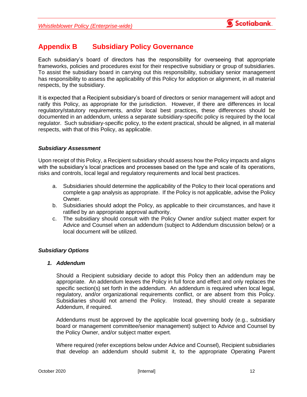

# <span id="page-15-0"></span>**Appendix B Subsidiary Policy Governance**

Each subsidiary's board of directors has the responsibility for overseeing that appropriate frameworks, policies and procedures exist for their respective subsidiary or group of subsidiaries. To assist the subsidiary board in carrying out this responsibility, subsidiary senior management has responsibility to assess the applicability of this Policy for adoption or alignment, in all material respects, by the subsidiary.

It is expected that a Recipient subsidiary's board of directors or senior management will adopt and ratify this Policy, as appropriate for the jurisdiction. However, if there are differences in local regulatory/statutory requirements, and/or local best practices, these differences should be documented in an addendum, unless a separate subsidiary-specific policy is required by the local regulator. Such subsidiary-specific policy, to the extent practical, should be aligned, in all material respects, with that of this Policy, as applicable.

### <span id="page-15-1"></span>*Subsidiary Assessment*

Upon receipt of this Policy, a Recipient subsidiary should assess how the Policy impacts and aligns with the subsidiary's local practices and processes based on the type and scale of its operations, risks and controls, local legal and regulatory requirements and local best practices.

- a. Subsidiaries should determine the applicability of the Policy to their local operations and complete a gap analysis as appropriate. If the Policy is not applicable, advise the Policy Owner.
- b. Subsidiaries should adopt the Policy, as applicable to their circumstances, and have it ratified by an appropriate approval authority.
- c. The subsidiary should consult with the Policy Owner and/or subject matter expert for Advice and Counsel when an addendum (subject to Addendum discussion below) or a local document will be utilized.

### <span id="page-15-2"></span>*Subsidiary Options*

### <span id="page-15-3"></span>*1. Addendum*

Should a Recipient subsidiary decide to adopt this Policy then an addendum may be appropriate. An addendum leaves the Policy in full force and effect and only replaces the specific section(s) set forth in the addendum. An addendum is required when local legal, regulatory, and/or organizational requirements conflict, or are absent from this Policy. Subsidiaries should not amend the Policy. Instead, they should create a separate Addendum, if required.

Addendums must be approved by the applicable local governing body (e.g., subsidiary board or management committee/senior management) subject to Advice and Counsel by the Policy Owner, and/or subject matter expert*.*

Where required (refer exceptions below under Advice and Counsel), Recipient subsidiaries that develop an addendum should submit it, to the appropriate Operating Parent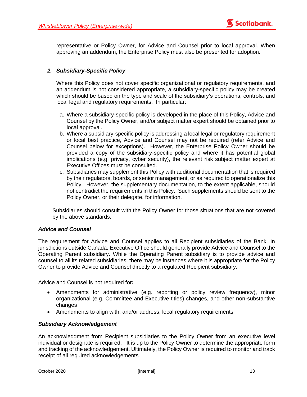

representative or Policy Owner, for Advice and Counsel prior to local approval. When approving an addendum, the Enterprise Policy must also be presented for adoption.

## <span id="page-16-0"></span>*2. Subsidiary-Specific Policy*

Where this Policy does not cover specific organizational or regulatory requirements, and an addendum is not considered appropriate, a subsidiary-specific policy may be created which should be based on the type and scale of the subsidiary's operations, controls, and local legal and regulatory requirements. In particular:

- a. Where a subsidiary-specific policy is developed in the place of this Policy, Advice and Counsel by the Policy Owner, and/or subject matter expert should be obtained prior to local approval.
- b. Where a subsidiary-specific policy is addressing a local legal or regulatory requirement or local best practice, Advice and Counsel may not be required (refer Advice and Counsel below for exceptions). However, the Enterprise Policy Owner should be provided a copy of the subsidiary-specific policy and where it has potential global implications (e.g. privacy, cyber security), the relevant risk subject matter expert at Executive Offices must be consulted.
- c. Subsidiaries may supplement this Policy with additional documentation that is required by their regulators, boards, or senior management, or as required to operationalize this Policy. However, the supplementary documentation, to the extent applicable, should not contradict the requirements in this Policy. Such supplements should be sent to the Policy Owner, or their delegate, for information.

Subsidiaries should consult with the Policy Owner for those situations that are not covered by the above standards.

### <span id="page-16-1"></span>*Advice and Counsel*

The requirement for Advice and Counsel applies to all Recipient subsidiaries of the Bank. In jurisdictions outside Canada, Executive Office should generally provide Advice and Counsel to the Operating Parent subsidiary. While the Operating Parent subsidiary is to provide advice and counsel to all its related subsidiaries, there may be instances where it is appropriate for the Policy Owner to provide Advice and Counsel directly to a regulated Recipient subsidiary.

Advice and Counsel is not required for**:**

- Amendments for administrative (e.g. reporting or policy review frequency), minor organizational (e.g. Committee and Executive titles) changes, and other non-substantive changes
- Amendments to align with, and/or address, local regulatory requirements

### <span id="page-16-2"></span>*Subsidiary Acknowledgement*

An acknowledgment from Recipient subsidiaries to the Policy Owner from an executive level individual or designate is required. It is up to the Policy Owner to determine the appropriate form and tracking of the acknowledgement. Ultimately, the Policy Owner is required to monitor and track receipt of all required acknowledgements*.*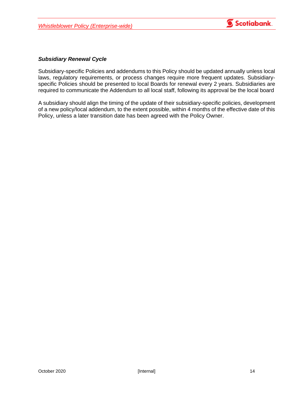

### <span id="page-17-0"></span>*Subsidiary Renewal Cycle*

Subsidiary-specific Policies and addendums to this Policy should be updated annually unless local laws, regulatory requirements, or process changes require more frequent updates. Subsidiaryspecific Policies should be presented to local Boards for renewal every 2 years. Subsidiaries are required to communicate the Addendum to all local staff, following its approval be the local board

A subsidiary should align the timing of the update of their subsidiary-specific policies, development of a new policy/local addendum, to the extent possible, within 4 months of the effective date of this Policy, unless a later transition date has been agreed with the Policy Owner.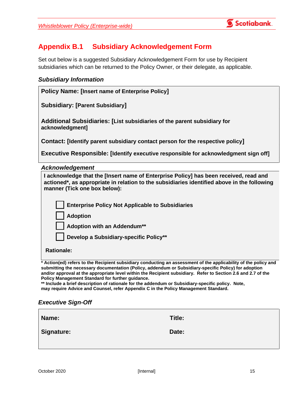

# <span id="page-18-0"></span>**Appendix B.1 Subsidiary Acknowledgement Form**

Set out below is a suggested Subsidiary Acknowledgement Form for use by Recipient subsidiaries which can be returned to the Policy Owner, or their delegate, as applicable.

## *Subsidiary Information*

| <b>Policy Name: [Insert name of Enterprise Policy]</b>                                                                                                                               |  |  |
|--------------------------------------------------------------------------------------------------------------------------------------------------------------------------------------|--|--|
| <b>Subsidiary: [Parent Subsidiary]</b>                                                                                                                                               |  |  |
| Additional Subsidiaries: [List subsidiaries of the parent subsidiary for<br>acknowledgment]                                                                                          |  |  |
| Contact: [Identify parent subsidiary contact person for the respective policy]                                                                                                       |  |  |
| <b>Executive Responsible: [Identify executive responsible for acknowledgment sign off]</b>                                                                                           |  |  |
| <b>Acknowledgement</b>                                                                                                                                                               |  |  |
| I acknowledge that the [Insert name of Enterprise Policy] has been received, read and<br>actioned*, as appropriate in relation to the subsidiaries identified above in the following |  |  |

| Tackhowledge that the finselt name of Enterprise Policy Fias been received, read and<br>actioned*, as appropriate in relation to the subsidiaries identified above in the following<br>manner (Tick one box below): |
|---------------------------------------------------------------------------------------------------------------------------------------------------------------------------------------------------------------------|
| <b>Enterprise Policy Not Applicable to Subsidiaries</b>                                                                                                                                                             |
| <b>Adoption</b>                                                                                                                                                                                                     |
| Adoption with an Addendum**                                                                                                                                                                                         |
| Develop a Subsidiary-specific Policy**                                                                                                                                                                              |
| <b>Rationale:</b>                                                                                                                                                                                                   |
| Action(ed) refers to the Recipient subsidiary conducting an assessment of the annlicability of the nolicy and                                                                                                       |

**\* Action(ed) refers to the Recipient subsidiary conducting an assessment of the applicability of the policy and submitting the necessary documentation (Policy, addendum or Subsidiary-specific Policy) for adoption and/or approval at the appropriate level within the Recipient subsidiary. Refer to Section 2.6 and 2.7 of the Policy Management Standard for further guidance.**

**\*\* Include a brief description of rationale for the addendum or Subsidiary-specific policy. Note, may require Advice and Counsel, refer Appendix C in the Policy Management Standard.**

## *Executive Sign-Off*

| Name:      | Title: |
|------------|--------|
| Signature: | Date:  |
|            |        |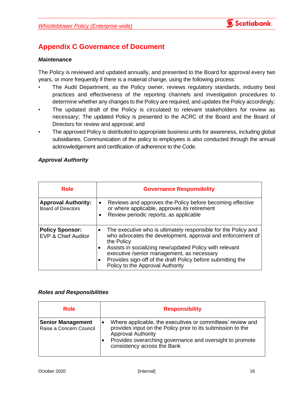

# <span id="page-19-0"></span>**Appendix C Governance of Document**

### <span id="page-19-1"></span>*Maintenance*

The Policy is reviewed and updated annually, and presented to the Board for approval every two years, or more frequently if there is a material change, using the following process:

- The Audit Department, as the Policy owner, reviews regulatory standards, industry best practices and effectiveness of the reporting channels and investigation procedures to determine whether any changes to the Policy are required, and updates the Policy accordingly;
- The updated draft of the Policy is circulated to relevant stakeholders for review as necessary; The updated Policy is presented to the ACRC of the Board and the Board of Directors for review and approval; and
- The approved Policy is distributed to appropriate business units for awareness, including global subsidiaries. Communication of the policy to employees is also conducted through the annual acknowledgement and certification of adherence to the Code.

### <span id="page-19-2"></span>*Approval Authority*

| <b>Role</b>                                              | <b>Governance Responsibility</b>                                                                                                                                                                                                                                                                                                                                                 |
|----------------------------------------------------------|----------------------------------------------------------------------------------------------------------------------------------------------------------------------------------------------------------------------------------------------------------------------------------------------------------------------------------------------------------------------------------|
| <b>Approval Authority:</b><br><b>Board of Directors</b>  | Reviews and approves the Policy before becoming effective<br>or where applicable, approves its retirement<br>Review periodic reports, as applicable                                                                                                                                                                                                                              |
| <b>Policy Sponsor:</b><br><b>EVP &amp; Chief Auditor</b> | The executive who is ultimately responsible for the Policy and<br>$\bullet$<br>who advocates the development, approval and enforcement of<br>the Policy<br>Assists in socializing new/updated Policy with relevant<br>executive /senior management, as necessary<br>Provides sign-off of the draft Policy before submitting the<br>$\bullet$<br>Policy to the Approval Authority |

### <span id="page-19-3"></span>*Roles and Responsibilities*

| <b>Role</b>                                         | <b>Responsibility</b>                                                                                                                                                                                                                             |
|-----------------------------------------------------|---------------------------------------------------------------------------------------------------------------------------------------------------------------------------------------------------------------------------------------------------|
| <b>Senior Management</b><br>Raise a Concern Council | Where applicable, the executives or committees' review and<br>provides input on the Policy prior to its submission to the<br><b>Approval Authority</b><br>Provides overarching governance and oversight to promote<br>consistency across the Bank |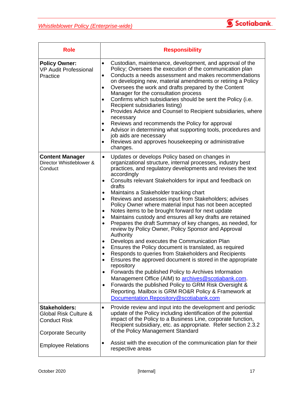

| <b>Role</b>                                                                                       | <b>Responsibility</b>                                                                                                                                                                                                                                                                                                                                                                                                                                                                                                                                                                                                                                                                                                                                                                                                                                                                                                                                                                                                                                                                                                                                                                                                                                                                                                                         |
|---------------------------------------------------------------------------------------------------|-----------------------------------------------------------------------------------------------------------------------------------------------------------------------------------------------------------------------------------------------------------------------------------------------------------------------------------------------------------------------------------------------------------------------------------------------------------------------------------------------------------------------------------------------------------------------------------------------------------------------------------------------------------------------------------------------------------------------------------------------------------------------------------------------------------------------------------------------------------------------------------------------------------------------------------------------------------------------------------------------------------------------------------------------------------------------------------------------------------------------------------------------------------------------------------------------------------------------------------------------------------------------------------------------------------------------------------------------|
| <b>Policy Owner:</b><br><b>VP Audit Professional</b><br>Practice                                  | Custodian, maintenance, development, and approval of the<br>$\bullet$<br>Policy; Oversees the execution of the communication plan<br>Conducts a needs assessment and makes recommendations<br>$\bullet$<br>on developing new, material amendments or retiring a Policy<br>Oversees the work and drafts prepared by the Content<br>٠<br>Manager for the consultation process<br>Confirms which subsidiaries should be sent the Policy (i.e.<br>$\bullet$<br>Recipient subsidiaries listing)<br>Provides Advice and Counsel to Recipient subsidiaries, where<br>$\bullet$<br>necessary<br>Reviews and recommends the Policy for approval<br>Advisor in determining what supporting tools, procedures and<br>$\bullet$<br>job aids are necessary<br>Reviews and approves housekeeping or administrative<br>$\bullet$<br>changes.                                                                                                                                                                                                                                                                                                                                                                                                                                                                                                                 |
| <b>Content Manager</b><br>Director Whistleblower &<br>Conduct                                     | Updates or develops Policy based on changes in<br>$\bullet$<br>organizational structure, internal processes, industry best<br>practices, and regulatory developments and revises the text<br>accordingly<br>Consults relevant Stakeholders for input and feedback on<br>$\bullet$<br>drafts<br>Maintains a Stakeholder tracking chart<br>٠<br>Reviews and assesses input from Stakeholders; advises<br>٠<br>Policy Owner where material input has not been accepted<br>Notes items to be brought forward for next update<br>٠<br>Maintains custody and ensures all key drafts are retained<br>$\bullet$<br>Prepares the draft Summary of key changes, as needed, for<br>$\bullet$<br>review by Policy Owner, Policy Sponsor and Approval<br>Authority<br>Develops and executes the Communication Plan<br>$\bullet$<br>Ensures the Policy document is translated, as required<br>٠<br>Responds to queries from Stakeholders and Recipients<br>٠<br>Ensures the approved document is stored in the appropriate<br>$\bullet$<br>repository<br>Forwards the published Policy to Archives Information<br>$\bullet$<br>Management Office (AIM) to archives@scotiabank.com.<br>Forwards the published Policy to GRM Risk Oversight &<br>$\bullet$<br>Reporting. Mailbox is GRM RO&R Policy & Framework at<br>Documentation.Repository@scotiabank.com |
| <b>Stakeholders:</b><br>Global Risk Culture &<br><b>Conduct Risk</b><br><b>Corporate Security</b> | Provide review and input into the development and periodic<br>$\bullet$<br>update of the Policy including identification of the potential<br>impact of the Policy to a Business Line, corporate function,<br>Recipient subsidiary, etc. as appropriate. Refer section 2.3.2<br>of the Policy Management Standard                                                                                                                                                                                                                                                                                                                                                                                                                                                                                                                                                                                                                                                                                                                                                                                                                                                                                                                                                                                                                              |
| <b>Employee Relations</b>                                                                         | Assist with the execution of the communication plan for their<br>respective areas                                                                                                                                                                                                                                                                                                                                                                                                                                                                                                                                                                                                                                                                                                                                                                                                                                                                                                                                                                                                                                                                                                                                                                                                                                                             |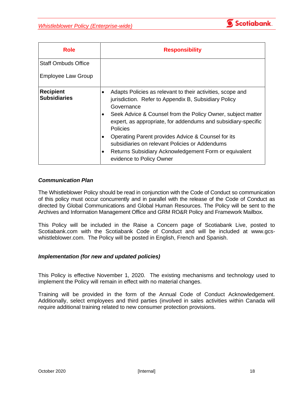

| Role                                    | <b>Responsibility</b>                                                                                                                                                                                                                                                                                                                                                                                                                                                                                        |
|-----------------------------------------|--------------------------------------------------------------------------------------------------------------------------------------------------------------------------------------------------------------------------------------------------------------------------------------------------------------------------------------------------------------------------------------------------------------------------------------------------------------------------------------------------------------|
| Staff Ombuds Office                     |                                                                                                                                                                                                                                                                                                                                                                                                                                                                                                              |
| <b>Employee Law Group</b>               |                                                                                                                                                                                                                                                                                                                                                                                                                                                                                                              |
| <b>Recipient</b><br><b>Subsidiaries</b> | Adapts Policies as relevant to their activities, scope and<br>٠<br>jurisdiction. Refer to Appendix B, Subsidiary Policy<br>Governance<br>Seek Advice & Counsel from the Policy Owner, subject matter<br>٠<br>expert, as appropriate, for addendums and subsidiary-specific<br><b>Policies</b><br>Operating Parent provides Advice & Counsel for its<br>$\bullet$<br>subsidiaries on relevant Policies or Addendums<br>Returns Subsidiary Acknowledgement Form or equivalent<br>٠<br>evidence to Policy Owner |

### <span id="page-21-0"></span>*Communication Plan*

The Whistleblower Policy should be read in conjunction with the Code of Conduct so communication of this policy must occur concurrently and in parallel with the release of the Code of Conduct as directed by Global Communications and Global Human Resources. The Policy will be sent to the Archives and Information Management Office and GRM RO&R Policy and Framework Mailbox.

This Policy will be included in the Raise a Concern page of Scotiabank Live, posted to Scotiabank.com with the Scotiabank Code of Conduct and will be included at [www.gcs](http://www.gcs-whistleblower.com/)[whistleblower.com.](http://www.gcs-whistleblower.com/) The Policy will be posted in English, French and Spanish.

### <span id="page-21-1"></span>*Implementation (for new and updated policies)*

This Policy is effective November 1, 2020. The existing mechanisms and technology used to implement the Policy will remain in effect with no material changes.

Training will be provided in the form of the Annual Code of Conduct Acknowledgement. Additionally, select employees and third parties (involved in sales activities within Canada will require additional training related to new consumer protection provisions.